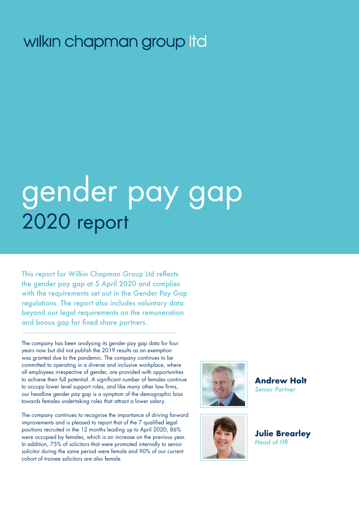## wilkin chapman group Itd

# gender pay gap 2020 report

This report for Wilkin Chapman Group Ltd reflects the gender pay gap at 5 April 2020 and complies with the requirements set out in the Gender Pay Gap regulations. The report also includes voluntary data beyond our legal requirements on the remuneration and bonus gap for fixed share partners.

The company has been analysing its gender pay gap data for four years now but did not publish the 2019 results as an exemption was granted due to the pandemic. The company continues to be committed to operating in a diverse and inclusive workplace, where all employees irrespective of gender, are provided with opportunities to achieve their full potential. A significant number of females continue to occupy lower level support roles, and like many other law firms, our headline gender pay gap is a symptom of the demographic bias towards females undertaking roles that attract a lower salary.

The company continues to recognise the importance of driving forward improvements and is pleased to report that of the 7 qualified legal positions recruited in the 12 months leading up to April 2020, 86% were occupied by females, which is an increase on the previous year. In addition, 75% of solicitors that were promoted internally to senior solicitor during the same period were female and 90% of our current cohort of trainee solicitors are also female.





**Andrew Holt**  *Senior Partner*

**Julie Brearley** *Head of HR*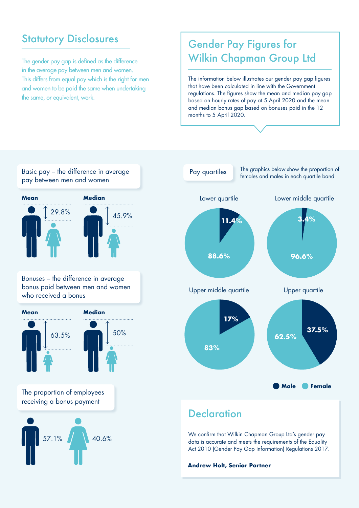## **Statutory Disclosures**

The gender pay gap is defined as the difference in the average pay between men and women. This differs from equal pay which is the right for men and women to be paid the same when undertaking the same, or equivalent, work.

## Gender Pay Figures for Wilkin Chapman Group Ltd

The information below illustrates our gender pay gap figures that have been calculated in line with the Government regulations. The figures show the mean and median pay gap based on hourly rates of pay at 5 April 2020 and the mean and median bonus gap based on bonuses paid in the 12 months to 5 April 2020.





data is accurate and meets the requirements of the Equality Act 2010 (Gender Pay Gap Information) Regulations 2017.

**Andrew Holt, Senior Partner**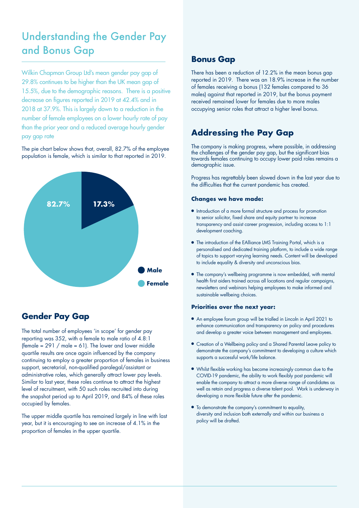## Understanding the Gender Pay and Bonus Gap

Wilkin Chapman Group Ltd's mean gender pay gap of 29.8% continues to be higher than the UK mean gap of 15.5%, due to the demographic reasons. There is a positive decrease on figures reported in 2019 at 42.4% and in 2018 at 37.9%. This is largely down to a reduction in the number of female employees on a lower hourly rate of pay than the prior year and a reduced average hourly gender pay gap rate

The pie chart below shows that, overall, 82.7% of the employee population is female, which is similar to that reported in 2019.



#### **Gender Pay Gap**

The total number of employees 'in scope' for gender pay reporting was 352, with a female to male ratio of 4.8:1 (female =  $291$  / male =  $61$ ). The lower and lower middle quartile results are once again influenced by the company continuing to employ a greater proportion of females in business support, secretarial, non-qualified paralegal/assistant or administrative roles, which generally attract lower pay levels. Similar to last year, these roles continue to attract the highest level of recruitment, with 50 such roles recruited into during the snapshot period up to April 2019, and 84% of these roles occupied by females.

The upper middle quartile has remained largely in line with last year, but it is encouraging to see an increase of 4.1% in the proportion of females in the upper quartile.

#### **Bonus Gap**

There has been a reduction of 12.2% in the mean bonus gap reported in 2019. There was an 18.9% increase in the number of females receiving a bonus (132 females compared to 36 males) against that reported in 2019, but the bonus payment received remained lower for females due to more males occupying senior roles that attract a higher level bonus.

#### **Addressing the Pay Gap**

The company is making progress, where possible, in addressing the challenges of the gender pay gap, but the significant bias towards females continuing to occupy lower paid roles remains a demographic issue.

Progress has regrettably been slowed down in the last year due to the difficulties that the current pandemic has created.

#### **Changes we have made:**

- Introduction of a more formal structure and process for promotion to senior solicitor, fixed share and equity partner to increase transparency and assist career progression, including access to 1:1 development coaching.
- The introduction of the EAlliance LMS Training Portal, which is a personalised and dedicated training platform, to include a wide range of topics to support varying learning needs. Content will be developed to include equality & diversity and unconscious bias.
- The company's wellbeing programme is now embedded, with mental health first aiders trained across all locations and regular campaigns, newsletters and webinars helping employees to make informed and sustainable wellbeing choices.

#### **Priorities over the next year:**

- An employee forum group will be trialled in Lincoln in April 2021 to enhance communication and transparency on policy and procedures and develop a greater voice between management and employees.
- Creation of a Wellbeing policy and a Shared Parental Leave policy to demonstrate the company's commitment to developing a culture which supports a successful work/life balance.
- Whilst flexible working has become increasingly common due to the COVID-19 pandemic, the ability to work flexibly post pandemic will enable the company to attract a more diverse range of candidates as well as retain and progress a diverse talent pool. Work is underway in developing a more flexible future after the pandemic.
- $\bullet$  To demonstrate the company's commitment to equality, diversity and inclusion both externally and within our business a policy will be drafted.